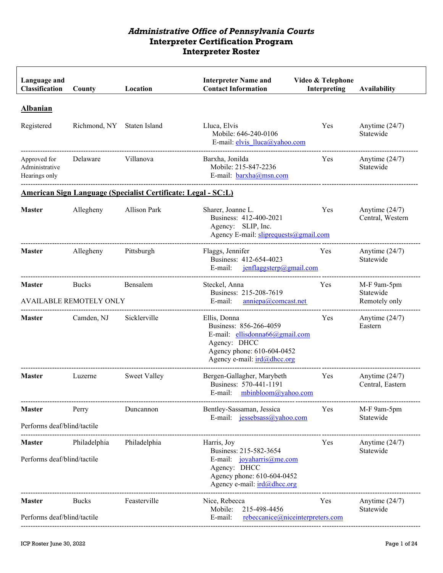| Language and<br>Classification                  | County                                         | Location                                                      | <b>Interpreter Name and</b><br><b>Contact Information</b>                                                                                             | Video & Telephone<br>Interpreting | <b>Availability</b>                       |
|-------------------------------------------------|------------------------------------------------|---------------------------------------------------------------|-------------------------------------------------------------------------------------------------------------------------------------------------------|-----------------------------------|-------------------------------------------|
| <b>Albanian</b><br>Registered                   | Richmond, NY                                   | Staten Island                                                 | Lluca, Elvis<br>Mobile: 646-240-0106<br>E-mail: elvis lluca@yahoo.com                                                                                 | Yes                               | Anytime $(24/7)$<br>Statewide             |
| Approved for<br>Administrative<br>Hearings only | Delaware                                       | Villanova                                                     | Barxha, Jonilda<br>Mobile: 215-847-2236<br>E-mail: $barxha@msn.com$                                                                                   | Yes                               | Anytime $(24/7)$<br>Statewide             |
|                                                 |                                                | American Sign Language (Specialist Certificate: Legal - SC:L) |                                                                                                                                                       |                                   |                                           |
| <b>Master</b>                                   | Allegheny                                      | Allison Park                                                  | Sharer, Joanne L.<br>Business: 412-400-2021<br>Agency: SLIP, Inc.<br>Agency E-mail: sliprequests@gmail.com                                            | Yes                               | Anytime $(24/7)$<br>Central, Western      |
| <b>Master</b>                                   | Allegheny                                      | Pittsburgh                                                    | Flaggs, Jennifer<br>Business: 412-654-4023<br>E-mail:<br>$j$ enflaggsterp@gmail.com                                                                   | Yes                               | Anytime $(24/7)$<br>Statewide             |
| <b>Master</b>                                   | <b>Bucks</b><br><b>AVAILABLE REMOTELY ONLY</b> | Bensalem                                                      | Steckel, Anna<br>Business: 215-208-7619<br>anniepa@comcast.net<br>E-mail:                                                                             | Yes                               | M-F 9am-5pm<br>Statewide<br>Remotely only |
| <b>Master</b>                                   | Camden, NJ                                     | Sicklerville                                                  | Ellis, Donna<br>Business: 856-266-4059<br>E-mail: ellisdonna66@gmail.com<br>Agency: DHCC<br>Agency phone: 610-604-0452<br>Agency e-mail: ird@dhcc.org | Yes                               | Anytime (24/7)<br>Eastern                 |
| <b>Master</b>                                   | Luzerne                                        | <b>Sweet Valley</b>                                           | Bergen-Gallagher, Marybeth<br>Business: 570-441-1191<br>E-mail: mbinbloom@yahoo.com                                                                   | Yes                               | Anytime $(24/7)$<br>Central, Eastern      |
| <b>Master</b>                                   | Perry                                          | Duncannon                                                     | Bentley-Sassaman, Jessica                                                                                                                             | Yes                               | M-F 9am-5pm                               |
| Performs deaf/blind/tactile                     |                                                |                                                               | E-mail: jessebsass@yahoo.com                                                                                                                          |                                   | Statewide                                 |
| <b>Master</b><br>Performs deaf/blind/tactile    | Philadelphia                                   | Philadelphia                                                  | Harris, Joy<br>Business: 215-582-3654<br>E-mail: $joyaharris@me.com$<br>Agency: DHCC<br>Agency phone: 610-604-0452<br>Agency e-mail: ird@dhcc.org     | Yes                               | Anytime $(24/7)$<br>Statewide             |
| <b>Master</b><br>Performs deaf/blind/tactile    | <b>Bucks</b>                                   | Feasterville                                                  | Nice, Rebecca<br>Mobile:<br>215-498-4456<br>E-mail:<br>rebeccanice@niceinterpreters.com                                                               | Yes                               | Anytime $(24/7)$<br>Statewide             |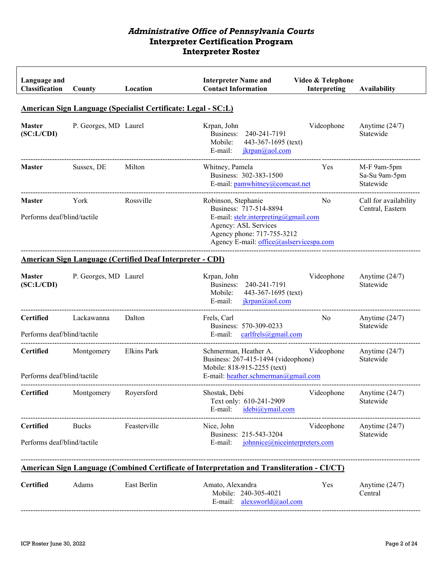| Language and<br>Classification                                       | County                | Location                                                         | <b>Interpreter Name and</b><br><b>Contact Information</b>                                                                                                                              | Video & Telephone<br>Interpreting | <b>Availability</b>                       |  |  |  |
|----------------------------------------------------------------------|-----------------------|------------------------------------------------------------------|----------------------------------------------------------------------------------------------------------------------------------------------------------------------------------------|-----------------------------------|-------------------------------------------|--|--|--|
| <b>American Sign Language (Specialist Certificate: Legal - SC:L)</b> |                       |                                                                  |                                                                                                                                                                                        |                                   |                                           |  |  |  |
| <b>Master</b><br>(SC: L/CDI)                                         | P. Georges, MD Laurel |                                                                  | Krpan, John<br>Business:<br>240-241-7191<br>443-367-1695 (text)<br>Mobile:<br>E-mail:<br>jkrpan@aol.com                                                                                | Videophone                        | Anytime $(24/7)$<br>Statewide             |  |  |  |
| <b>Master</b>                                                        | Sussex, DE            | Milton                                                           | Whitney, Pamela<br>Business: 302-383-1500<br>E-mail: pamwhitney@comcast.net                                                                                                            | Yes                               | M-F 9am-5pm<br>Sa-Su 9am-5pm<br>Statewide |  |  |  |
| <b>Master</b><br>Performs deaf/blind/tactile                         | York                  | Rossville                                                        | Robinson, Stephanie<br>Business: 717-514-8894<br>E-mail: stelr.interpreting@gmail.com<br>Agency: ASL Services<br>Agency phone: 717-755-3212<br>Agency E-mail: office@aslservicespa.com | No.                               | Call for availability<br>Central, Eastern |  |  |  |
|                                                                      |                       | <b>American Sign Language (Certified Deaf Interpreter - CDI)</b> |                                                                                                                                                                                        |                                   |                                           |  |  |  |
| <b>Master</b><br>(SC: L/CDI)                                         | P. Georges, MD Laurel |                                                                  | Krpan, John<br>Business:<br>240-241-7191<br>Mobile:<br>443-367-1695 (text)<br>E-mail:<br>ikrpan@aol.com                                                                                | Videophone                        | Anytime $(24/7)$<br>Statewide             |  |  |  |
| <b>Certified</b><br>Performs deaf/blind/tactile                      | Lackawanna            | Dalton                                                           | Frels, Carl<br>Business: 570-309-0233<br>carlfrels@gmail.com<br>E-mail:                                                                                                                | No.                               | Anytime $(24/7)$<br>Statewide             |  |  |  |
| <b>Certified</b><br>Performs deaf/blind/tactile                      | Montgomery            | <b>Elkins Park</b>                                               | Schmerman, Heather A.<br>Business: 267-415-1494 (videophone)<br>Mobile: 818-915-2255 (text)<br>E-mail: heather.schmerman@gmail.com                                                     | Videophone                        | Anytime $(24/7)$<br>Statewide             |  |  |  |
| <b>Certified</b>                                                     | Montgomery            | Royersford                                                       | Shostak, Debi<br>Text only: 610-241-2909<br>idebi@ymail.com<br>E-mail:                                                                                                                 | Videophone                        | Anytime $(24/7)$<br>Statewide             |  |  |  |
| <b>Certified</b><br>Performs deaf/blind/tactile                      | <b>Bucks</b>          | Feasterville                                                     | Nice, John<br>Business: 215-543-3204<br>E-mail:<br>johnnice@niceinterpreters.com                                                                                                       | Videophone                        | Anytime $(24/7)$<br>Statewide             |  |  |  |
|                                                                      |                       |                                                                  | <b>American Sign Language (Combined Certificate of Interpretation and Transliteration - CI/CT)</b>                                                                                     |                                   |                                           |  |  |  |
| <b>Certified</b>                                                     | Adams                 | East Berlin                                                      | Amato, Alexandra<br>Mobile: 240-305-4021<br>E-mail: alexsworld@aol.com                                                                                                                 | Yes                               | Anytime $(24/7)$<br>Central               |  |  |  |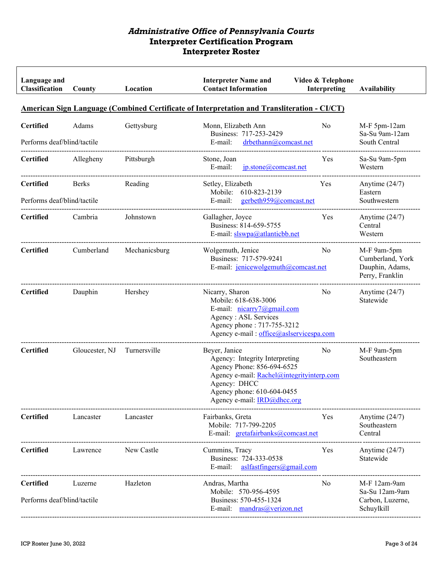| Language and<br>Classification                                                                     | County         | Location      | <b>Interpreter Name and</b><br><b>Contact Information</b>                                                                                                                                               | Video & Telephone<br>Interpreting | <b>Availability</b>                                                   |  |  |  |
|----------------------------------------------------------------------------------------------------|----------------|---------------|---------------------------------------------------------------------------------------------------------------------------------------------------------------------------------------------------------|-----------------------------------|-----------------------------------------------------------------------|--|--|--|
| <b>American Sign Language (Combined Certificate of Interpretation and Transliteration - CI/CT)</b> |                |               |                                                                                                                                                                                                         |                                   |                                                                       |  |  |  |
| <b>Certified</b><br>Performs deaf/blind/tactile                                                    | Adams          | Gettysburg    | Monn, Elizabeth Ann<br>Business: 717-253-2429<br>E-mail:<br>drbethann@comcast.net                                                                                                                       | No                                | M-F 5pm-12am<br>Sa-Su 9am-12am<br>South Central                       |  |  |  |
| <b>Certified</b>                                                                                   | Allegheny      | Pittsburgh    | Stone, Joan<br>E-mail:<br>jp.stone@comcast.net                                                                                                                                                          | Yes                               | Sa-Su 9am-5pm<br>Western                                              |  |  |  |
| <b>Certified</b><br>Performs deaf/blind/tactile                                                    | Berks          | Reading       | Setley, Elizabeth<br>Mobile: 610-823-2139<br>E-mail:<br>gerbeth959@comcast.net                                                                                                                          | Yes                               | Anytime (24/7)<br>Eastern<br>Southwestern                             |  |  |  |
| <b>Certified</b>                                                                                   | Cambria        | Johnstown     | Gallagher, Joyce<br>Business: 814-659-5755<br>E-mail: slswpa@atlanticbb.net                                                                                                                             | Yes                               | Anytime $(24/7)$<br>Central<br>Western                                |  |  |  |
| <b>Certified</b>                                                                                   | Cumberland     | Mechanicsburg | Wolgemuth, Jenice<br>Business: 717-579-9241<br>E-mail: jenicewolgemuth@comcast.net                                                                                                                      | N <sub>o</sub>                    | M-F 9am-5pm<br>Cumberland, York<br>Dauphin, Adams,<br>Perry, Franklin |  |  |  |
| <b>Certified</b>                                                                                   | Dauphin        | Hershey       | Nicarry, Sharon<br>Mobile: 618-638-3006<br>E-mail: $nicarry7@gmail.com$<br>Agency : ASL Services<br>Agency phone: 717-755-3212<br>Agency e-mail : office@aslservicespa.com                              | No.                               | Anytime $(24/7)$<br>Statewide                                         |  |  |  |
| <b>Certified</b>                                                                                   | Gloucester, NJ | Turnersville  | Beyer, Janice<br>Agency: Integrity Interpreting<br>Agency Phone: 856-694-6525<br>Agency e-mail: Rachel@integrityinterp.com<br>Agency: DHCC<br>Agency phone: 610-604-0455<br>Agency e-mail: IRD@dhcc.org | No                                | M-F 9am-5pm<br>Southeastern                                           |  |  |  |
| <b>Certified</b>                                                                                   | Lancaster      | Lancaster     | Fairbanks, Greta<br>Mobile: 717-799-2205<br>E-mail: gretafairbanks@comcast.net                                                                                                                          | Yes                               | Anytime $(24/7)$<br>Southeastern<br>Central                           |  |  |  |
| <b>Certified</b>                                                                                   | Lawrence       | New Castle    | Cummins, Tracy<br>Business: 724-333-0538<br>aslfastfingers@gmail.com<br>E-mail:                                                                                                                         | Yes                               | Anytime $(24/7)$<br>Statewide                                         |  |  |  |
| <b>Certified</b><br>Performs deaf/blind/tactile                                                    | Luzerne        | Hazleton      | Andras, Martha<br>Mobile: 570-956-4595<br>Business: 570-455-1324<br>E-mail: mandras@verizon.net                                                                                                         | N <sub>o</sub>                    | M-F 12am-9am<br>Sa-Su 12am-9am<br>Carbon, Luzerne,<br>Schuylkill      |  |  |  |

П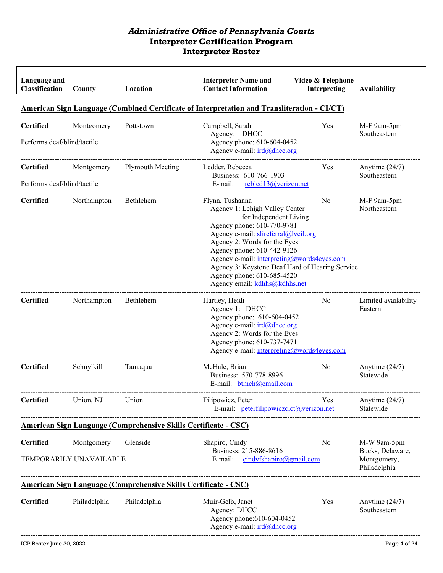| Language and<br><b>Classification</b> | County                                | Location                                                               | <b>Interpreter Name and</b><br><b>Contact Information</b>                                                                                                                                                                                                                                                                                                                       | Video & Telephone<br>Interpreting | <b>Availability</b>                                            |
|---------------------------------------|---------------------------------------|------------------------------------------------------------------------|---------------------------------------------------------------------------------------------------------------------------------------------------------------------------------------------------------------------------------------------------------------------------------------------------------------------------------------------------------------------------------|-----------------------------------|----------------------------------------------------------------|
|                                       |                                       |                                                                        | <b>American Sign Language (Combined Certificate of Interpretation and Transliteration - CI/CT)</b>                                                                                                                                                                                                                                                                              |                                   |                                                                |
| <b>Certified</b>                      | Montgomery                            | Pottstown                                                              | Campbell, Sarah                                                                                                                                                                                                                                                                                                                                                                 | Yes                               | M-F 9am-5pm                                                    |
| Performs deaf/blind/tactile           |                                       |                                                                        | Agency: DHCC<br>Agency phone: 610-604-0452<br>Agency e-mail: ird@dhcc.org                                                                                                                                                                                                                                                                                                       |                                   | Southeastern                                                   |
| <b>Certified</b>                      | Montgomery                            | <b>Plymouth Meeting</b>                                                | Ledder, Rebecca<br>Business: 610-766-1903                                                                                                                                                                                                                                                                                                                                       | Yes                               | Anytime $(24/7)$<br>Southeastern                               |
| Performs deaf/blind/tactile           |                                       |                                                                        | E-mail: rebled13@verizon.net                                                                                                                                                                                                                                                                                                                                                    |                                   |                                                                |
| Certified                             | Northampton                           | Bethlehem                                                              | Flynn, Tushanna<br>Agency 1: Lehigh Valley Center<br>for Independent Living<br>Agency phone: 610-770-9781<br>Agency e-mail: slireferral@lvcil.org<br>Agency 2: Words for the Eyes<br>Agency phone: 610-442-9126<br>Agency e-mail: interpreting@words4eyes.com<br>Agency 3: Keystone Deaf Hard of Hearing Service<br>Agency phone: 610-685-4520<br>Agency email: kdhhs@kdhhs.net | No                                | M-F 9am-5pm<br>Northeastern                                    |
| <b>Certified</b>                      | Northampton                           | Bethlehem                                                              | Hartley, Heidi<br>Agency 1: DHCC<br>Agency phone: 610-604-0452<br>Agency e-mail: ird@dhcc.org<br>Agency 2: Words for the Eyes<br>Agency phone: 610-737-7471<br>Agency e-mail: interpreting@words4eyes.com                                                                                                                                                                       | No                                | Limited availability<br>Eastern                                |
| <b>Certified</b>                      | Schuylkill                            | Tamaqua                                                                | McHale, Brian<br>Business: 570-778-8996<br>E-mail: btmch@email.com                                                                                                                                                                                                                                                                                                              | No                                | Anytime $(24/7)$<br>Statewide                                  |
| <b>Certified</b>                      | Union, NJ                             | Union                                                                  | Filipowicz, Peter<br>E-mail: peterfilipowiczcict@verizon.net                                                                                                                                                                                                                                                                                                                    | Yes                               | Anytime $(24/7)$<br>Statewide                                  |
|                                       |                                       | <b>American Sign Language (Comprehensive Skills Certificate - CSC)</b> |                                                                                                                                                                                                                                                                                                                                                                                 |                                   |                                                                |
| <b>Certified</b>                      | Montgomery<br>TEMPORARILY UNAVAILABLE | Glenside                                                               | Shapiro, Cindy<br>Business: 215-886-8616<br>$\frac{\text{cindyfshapiro}(a)$ gmail.com<br>E-mail:                                                                                                                                                                                                                                                                                | No                                | M-W 9am-5pm<br>Bucks, Delaware,<br>Montgomery,<br>Philadelphia |
|                                       |                                       | <b>American Sign Language (Comprehensive Skills Certificate - CSC)</b> |                                                                                                                                                                                                                                                                                                                                                                                 |                                   |                                                                |
| <b>Certified</b>                      | Philadelphia                          | Philadelphia                                                           | Muir-Gelb, Janet<br>Agency: DHCC<br>Agency phone: 610-604-0452<br>Agency e-mail: ird@dhcc.org                                                                                                                                                                                                                                                                                   | Yes                               | Anytime $(24/7)$<br>Southeastern                               |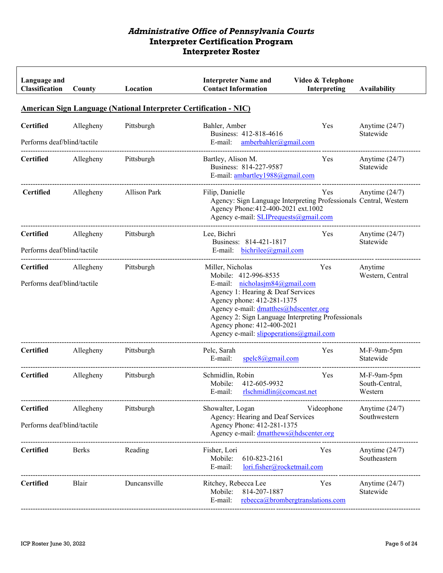| Language and<br>Classification                  | County    | Location     | <b>Interpreter Name and</b><br><b>Contact Information</b>                                                                                                                                                                                                                                                                          | Video & Telephone<br>Interpreting | Availability                             |
|-------------------------------------------------|-----------|--------------|------------------------------------------------------------------------------------------------------------------------------------------------------------------------------------------------------------------------------------------------------------------------------------------------------------------------------------|-----------------------------------|------------------------------------------|
|                                                 |           |              | <b>American Sign Language (National Interpreter Certification - NIC)</b>                                                                                                                                                                                                                                                           |                                   |                                          |
| <b>Certified</b><br>Performs deaf/blind/tactile | Allegheny | Pittsburgh   | Bahler, Amber<br>Business: 412-818-4616<br>amberbahler@gmail.com<br>E-mail:                                                                                                                                                                                                                                                        | Yes                               | Anytime $(24/7)$<br>Statewide            |
| <b>Certified</b>                                | Allegheny | Pittsburgh   | Bartley, Alison M.<br>Business: 814-227-9587<br>E-mail: ambartley1988@gmail.com                                                                                                                                                                                                                                                    | Yes                               | Anytime $(24/7)$<br>Statewide            |
| <b>Certified</b>                                | Allegheny | Allison Park | Filip, Danielle<br>Agency: Sign Language Interpreting Professionals Central, Western<br>Agency Phone: 412-400-2021 ext. 1002<br>Agency e-mail: SLIPrequests@gmail.com                                                                                                                                                              | Yes                               | Anytime $(24/7)$                         |
| <b>Certified</b><br>Performs deaf/blind/tactile | Allegheny | Pittsburgh   | Lee, Bichri<br>Business: 814-421-1817<br>E-mail: $bichrilee@gmail.com$                                                                                                                                                                                                                                                             | Yes                               | Anytime $(24/7)$<br>Statewide            |
| <b>Certified</b><br>Performs deaf/blind/tactile | Allegheny | Pittsburgh   | Miller, Nicholas<br>Mobile: 412-996-8535<br>E-mail: nicholasjm84@gmail.com<br>Agency 1: Hearing & Deaf Services<br>Agency phone: 412-281-1375<br>Agency e-mail: dmatthes@hdscenter.org<br>Agency 2: Sign Language Interpreting Professionals<br>Agency phone: 412-400-2021<br>Agency e-mail: $slip operations(\partial gmail.com)$ | Yes                               | Anytime<br>Western, Central              |
| <b>Certified</b>                                | Allegheny | Pittsburgh   | Pelc, Sarah<br>spelc8@gmail.com<br>E-mail:                                                                                                                                                                                                                                                                                         | Yes                               | M-F-9am-5pm<br>Statewide                 |
| <b>Certified</b>                                | Allegheny | Pittsburgh   | Schmidlin, Robin<br>Mobile:<br>412-605-9932<br>E-mail:<br>rlschmidlin@connect.net                                                                                                                                                                                                                                                  | Yes                               | M-F-9am-5pm<br>South-Central,<br>Western |
| <b>Certified</b><br>Performs deaf/blind/tactile | Allegheny | Pittsburgh   | Showalter, Logan<br>Agency: Hearing and Deaf Services<br>Agency Phone: 412-281-1375<br>Agency e-mail: dmatthews@hdscenter.org                                                                                                                                                                                                      | Videophone                        | Anytime $(24/7)$<br>Southwestern         |
| <b>Certified</b>                                | Berks     | Reading      | Fisher, Lori<br>610-823-2161<br>Mobile:<br>E-mail:<br>lori.fisher@rocketmail.com                                                                                                                                                                                                                                                   | Yes                               | Anytime $(24/7)$<br>Southeastern         |
| <b>Certified</b>                                | Blair     | Duncansville | Ritchey, Rebecca Lee<br>814-207-1887<br>Mobile:<br>rebecca@brombergtranslations.com<br>E-mail:                                                                                                                                                                                                                                     | Yes                               | Anytime $(24/7)$<br>Statewide            |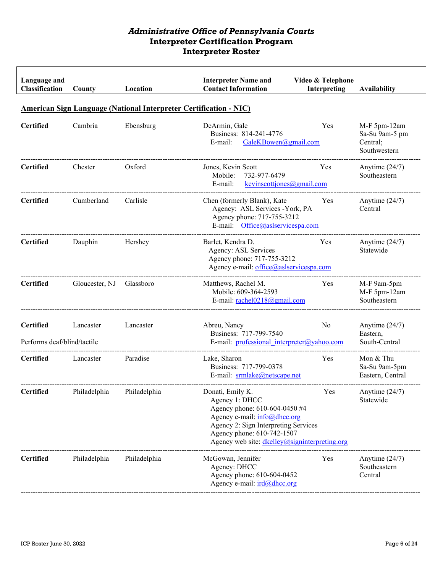| Language and<br>Classification                                           | County         | Location     | <b>Interpreter Name and</b><br><b>Contact Information</b>                                                                                                                                                                  | Video & Telephone<br>Interpreting | <b>Availability</b>                                        |  |  |  |
|--------------------------------------------------------------------------|----------------|--------------|----------------------------------------------------------------------------------------------------------------------------------------------------------------------------------------------------------------------------|-----------------------------------|------------------------------------------------------------|--|--|--|
| <b>American Sign Language (National Interpreter Certification - NIC)</b> |                |              |                                                                                                                                                                                                                            |                                   |                                                            |  |  |  |
| <b>Certified</b>                                                         | Cambria        | Ebensburg    | DeArmin, Gale<br>Business: 814-241-4776<br>GaleKBowen@gmail.com<br>E-mail:                                                                                                                                                 | Yes                               | M-F 5pm-12am<br>Sa-Su 9am-5 pm<br>Central;<br>Southwestern |  |  |  |
| <b>Certified</b>                                                         | Chester        | Oxford       | Jones, Kevin Scott<br>732-977-6479<br>Mobile:<br>kevinscottjones@gmail.com<br>E-mail:                                                                                                                                      | Yes                               | Anytime $(24/7)$<br>Southeastern                           |  |  |  |
| <b>Certified</b>                                                         | Cumberland     | Carlisle     | Chen (formerly Blank), Kate<br>Agency: ASL Services - York, PA<br>Agency phone: 717-755-3212<br>E-mail: Office@aslservicespa.com                                                                                           | Yes                               | Anytime $(24/7)$<br>Central                                |  |  |  |
| <b>Certified</b>                                                         | Dauphin        | Hershey      | Barlet, Kendra D.<br>Agency: ASL Services<br>Agency phone: 717-755-3212<br>Agency e-mail: office@aslservicespa.com                                                                                                         | Yes                               | Anytime $(24/7)$<br>Statewide                              |  |  |  |
| <b>Certified</b>                                                         | Gloucester, NJ | Glassboro    | Matthews, Rachel M.<br>Mobile: 609-364-2593<br>E-mail: rachel0218@gmail.com                                                                                                                                                | Yes                               | M-F 9am-5pm<br>M-F 5pm-12am<br>Southeastern                |  |  |  |
| <b>Certified</b><br>Performs deaf/blind/tactile                          | Lancaster      | Lancaster    | Abreu, Nancy<br>Business: 717-799-7540<br>E-mail: professional interpreter@yahoo.com                                                                                                                                       | N <sub>0</sub>                    | Anytime $(24/7)$<br>Eastern,<br>South-Central              |  |  |  |
| <b>Certified</b>                                                         | Lancaster      | Paradise     | Lake, Sharon<br>Business: 717-799-0378<br>E-mail: srmlake@netscape.net                                                                                                                                                     | Yes                               | Mon & Thu<br>Sa-Su 9am-5pm<br>Eastern, Central             |  |  |  |
| <b>Certified</b>                                                         | Philadelphia   | Philadelphia | Donati, Emily K.<br>Agency 1: DHCC<br>Agency phone: 610-604-0450 #4<br>Agency e-mail: info@dhcc.org<br>Agency 2: Sign Interpreting Services<br>Agency phone: 610-742-1507<br>Agency web site: dkelley@signinterpreting.org | Yes                               | Anytime $(24/7)$<br>Statewide                              |  |  |  |
| <b>Certified</b>                                                         | Philadelphia   | Philadelphia | McGowan, Jennifer<br>Agency: DHCC<br>Agency phone: 610-604-0452<br>Agency e-mail: ird@dhcc.org                                                                                                                             | Yes                               | Anytime $(24/7)$<br>Southeastern<br>Central                |  |  |  |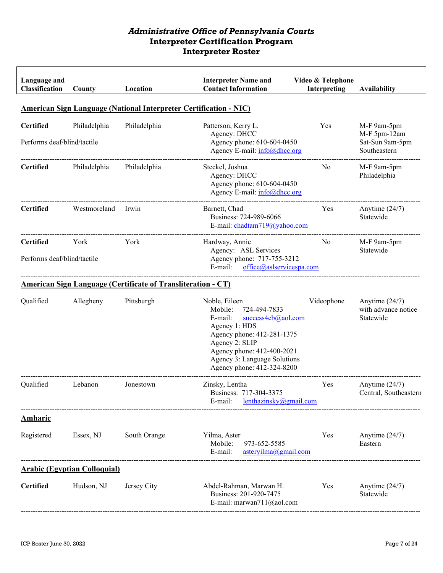| Language and<br><b>Classification</b>           | County                              | Location                                                            | <b>Interpreter Name and</b><br><b>Contact Information</b>                                                                                                                                                                              | Video & Telephone<br>Interpreting | <b>Availability</b>                                            |
|-------------------------------------------------|-------------------------------------|---------------------------------------------------------------------|----------------------------------------------------------------------------------------------------------------------------------------------------------------------------------------------------------------------------------------|-----------------------------------|----------------------------------------------------------------|
|                                                 |                                     |                                                                     | <b>American Sign Language (National Interpreter Certification - NIC)</b>                                                                                                                                                               |                                   |                                                                |
| <b>Certified</b><br>Performs deaf/blind/tactile | Philadelphia                        | Philadelphia                                                        | Patterson, Kerry L.<br>Agency: DHCC<br>Agency phone: 610-604-0450<br>Agency E-mail: info@dhcc.org                                                                                                                                      | Yes                               | M-F 9am-5pm<br>M-F 5pm-12am<br>Sat-Sun 9am-5pm<br>Southeastern |
| Certified                                       | Philadelphia                        | Philadelphia                                                        | Steckel, Joshua<br>Agency: DHCC<br>Agency phone: 610-604-0450<br>Agency E-mail: info@dhcc.org                                                                                                                                          | No                                | M-F 9am-5pm<br>Philadelphia                                    |
| <b>Certified</b>                                | Westmoreland                        | Irwin                                                               | Barnett, Chad<br>Business: 724-989-6066<br>E-mail: chadtam719@yahoo.com                                                                                                                                                                | Yes                               | Anytime $(24/7)$<br>Statewide                                  |
| <b>Certified</b><br>Performs deaf/blind/tactile | York                                | York                                                                | Hardway, Annie<br>Agency: ASL Services<br>Agency phone: 717-755-3212<br>E-mail: office@aslservicespa.com                                                                                                                               | No.                               | M-F 9am-5pm<br>Statewide                                       |
|                                                 |                                     | <b>American Sign Language (Certificate of Transliteration - CT)</b> |                                                                                                                                                                                                                                        |                                   |                                                                |
| Qualified                                       | Allegheny                           | Pittsburgh                                                          | Noble, Eileen<br>Mobile:<br>724-494-7833<br>E-mail:<br>success4eb@aol.com<br>Agency 1: HDS<br>Agency phone: 412-281-1375<br>Agency 2: SLIP<br>Agency phone: 412-400-2021<br>Agency 3: Language Solutions<br>Agency phone: 412-324-8200 | Videophone                        | Anytime $(24/7)$<br>with advance notice<br>Statewide           |
| Qualified                                       | Lebanon                             | Jonestown                                                           | Zinsky, Lentha<br>Business: 717-304-3375<br>lenthazinsky@gmail.com<br>E-mail:                                                                                                                                                          | Yes                               | Anytime $(24/7)$<br>Central, Southeastern                      |
| Amharic                                         |                                     |                                                                     |                                                                                                                                                                                                                                        |                                   |                                                                |
| Registered                                      | Essex, NJ                           | South Orange                                                        | Yilma, Aster<br>Mobile:<br>973-652-5585<br>E-mail:<br>asteryilma@gmail.com                                                                                                                                                             | Yes                               | Anytime $(24/7)$<br>Eastern                                    |
|                                                 | <b>Arabic (Egyptian Colloquial)</b> |                                                                     |                                                                                                                                                                                                                                        |                                   |                                                                |
| <b>Certified</b>                                | Hudson, NJ                          | Jersey City                                                         | Abdel-Rahman, Marwan H.<br>Business: 201-920-7475<br>E-mail: marwan711@aol.com                                                                                                                                                         | Yes                               | Anytime $(24/7)$<br>Statewide                                  |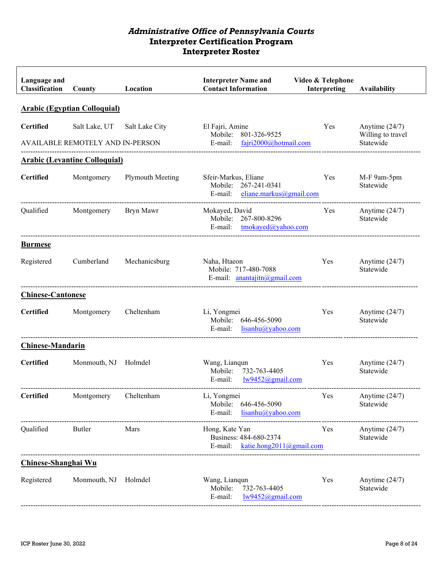| Language and<br><b>Classification</b> | County                                                   | Location         | <b>Interpreter Name and</b><br><b>Contact Information</b>                                                                 | Video & Telephone<br>Interpreting | <b>Availability</b>                                |
|---------------------------------------|----------------------------------------------------------|------------------|---------------------------------------------------------------------------------------------------------------------------|-----------------------------------|----------------------------------------------------|
|                                       | <b>Arabic (Egyptian Colloquial)</b>                      |                  |                                                                                                                           |                                   |                                                    |
| <b>Certified</b>                      | Salt Lake, UT<br><b>AVAILABLE REMOTELY AND IN-PERSON</b> | Salt Lake City   | El Fajri, Amine<br>Mobile: 801-326-9525<br>E-mail: fajri2000@hotmail.com                                                  | Yes                               | Anytime $(24/7)$<br>Willing to travel<br>Statewide |
|                                       | <b>Arabic (Levantine Colloquial)</b>                     |                  |                                                                                                                           |                                   |                                                    |
| <b>Certified</b>                      | Montgomery                                               | Plymouth Meeting | Sfeir-Markus, Eliane<br>Mobile: 267-241-0341<br>E-mail: $\theta$ eliane.markus@gmail.com<br>----------------------------- | Yes                               | M-F 9am-5pm<br>Statewide                           |
| Qualified                             | Montgomery                                               | Bryn Mawr        | Mokayed, David<br>Mobile: 267-800-8296<br>E-mail: tmokayed@yahoo.com                                                      | Yes                               | Anytime $(24/7)$<br>Statewide                      |
| <b>Burmese</b>                        |                                                          |                  |                                                                                                                           |                                   |                                                    |
| Registered                            | Cumberland                                               | Mechanicsburg    | Naha, Htaeon<br>Mobile: 717-480-7088<br>E-mail: anantajitn@gmail.com                                                      | Yes                               | Anytime $(24/7)$<br>Statewide                      |
| <b>Chinese-Cantonese</b>              |                                                          |                  |                                                                                                                           |                                   |                                                    |
| <b>Certified</b>                      | Montgomery                                               | Cheltenham       | Li, Yongmei<br>Mobile: 646-456-5090<br>E-mail: $lisanhu@yahoo.com$                                                        | Yes                               | Anytime $(24/7)$<br>Statewide                      |
| <b>Chinese-Mandarin</b>               |                                                          |                  |                                                                                                                           |                                   |                                                    |
| <b>Certified</b>                      | Monmouth, NJ Holmdel                                     |                  | Wang, Lianqun<br>Mobile: 732-763-4405<br>E-mail:<br>lw9452@gmail.com                                                      | Yes                               | Anytime $(24/7)$<br>Statewide                      |
| <b>Certified</b>                      | Montgomery                                               | Cheltenham       | Li, Yongmei<br>Mobile:<br>646-456-5090<br>E-mail:<br>lisanhu@yahoo.com                                                    | Yes                               | Anytime (24/7)<br>Statewide                        |
| Qualified                             | Butler                                                   | Mars             | Hong, Kate Yan<br>Business: 484-680-2374<br>E-mail: katie.hong2011@gmail.com                                              | Yes                               | Anytime $(24/7)$<br>Statewide                      |
| Chinese-Shanghai Wu                   |                                                          |                  |                                                                                                                           |                                   |                                                    |
| Registered                            | Monmouth, NJ                                             | Holmdel          | Wang, Lianqun<br>Mobile:<br>732-763-4405<br>lw9452@gmail.com<br>E-mail:                                                   | Yes                               | Anytime $(24/7)$<br>Statewide                      |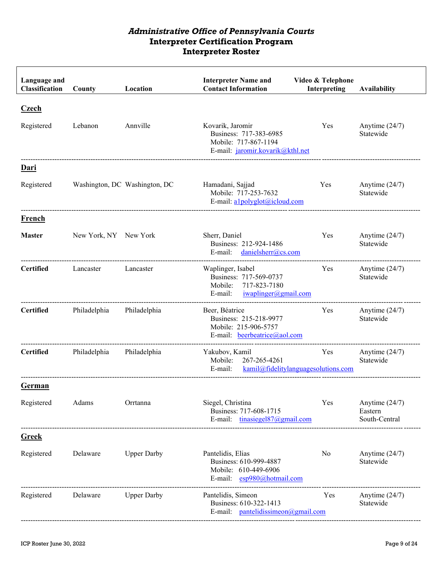| Language and<br>Classification | County                | Location                      | <b>Interpreter Name and</b><br><b>Contact Information</b>                                                 | Video & Telephone<br>Interpreting          | <b>Availability</b>                          |
|--------------------------------|-----------------------|-------------------------------|-----------------------------------------------------------------------------------------------------------|--------------------------------------------|----------------------------------------------|
| <b>Czech</b>                   |                       |                               |                                                                                                           |                                            |                                              |
| Registered                     | Lebanon               | Annville                      | Kovarik, Jaromir<br>Business: 717-383-6985<br>Mobile: 717-867-1194<br>E-mail: jaromir.kovarik@kthl.net    | Yes                                        | Anytime $(24/7)$<br>Statewide                |
| Dari                           |                       |                               |                                                                                                           |                                            |                                              |
| Registered                     |                       | Washington, DC Washington, DC | Hamadani, Sajjad<br>Mobile: 717-253-7632<br>E-mail: alpolyglot@icloud.com                                 | Yes                                        | Anytime $(24/7)$<br>Statewide                |
| French                         |                       |                               |                                                                                                           |                                            |                                              |
| <b>Master</b>                  | New York, NY New York |                               | Sherr, Daniel<br>Business: 212-924-1486<br>E-mail:<br>danielsherr@cs.com                                  | Yes                                        | Anytime $(24/7)$<br>Statewide                |
| <b>Certified</b>               | Lancaster             | Lancaster                     | Waplinger, Isabel<br>Business: 717-569-0737<br>717-823-7180<br>Mobile:<br>iwaplinger@gmail.com<br>E-mail: | Yes                                        | Anytime $(24/7)$<br>Statewide                |
| <b>Certified</b>               | Philadelphia          | Philadelphia                  | Beer, Béatrice<br>Business: 215-218-9977<br>Mobile: 215-906-5757<br>E-mail: beerbeatrice@aol.com          | Yes                                        | Anytime $(24/7)$<br>Statewide                |
| <b>Certified</b>               | Philadelphia          | Philadelphia                  | Yakubov, Kamil<br>Mobile:<br>267-265-4261<br>E-mail:                                                      | Yes<br>kami@fidelity languagesolutions.com | Anytime $(24/7)$<br>Statewide                |
| <b>German</b>                  |                       |                               |                                                                                                           |                                            |                                              |
| Registered                     | Adams                 | Orrtanna                      | Siegel, Christina<br>Business: 717-608-1715<br>E-mail: $tinasiegel87@gmail.com$                           | Yes                                        | Anytime $(24/7)$<br>Eastern<br>South-Central |
| <b>Greek</b>                   |                       |                               |                                                                                                           |                                            |                                              |
| Registered                     | Delaware              | <b>Upper Darby</b>            | Pantelidis, Elias<br>Business: 610-999-4887<br>Mobile: 610-449-6906<br>E-mail: esp980@hotmail.com         | No                                         | Anytime $(24/7)$<br>Statewide                |
| Registered                     | Delaware              | <b>Upper Darby</b>            | Pantelidis, Simeon<br>Business: 610-322-1413<br>E-mail: pantelidissimeon@gmail.com                        | Yes                                        | Anytime $(24/7)$<br>Statewide                |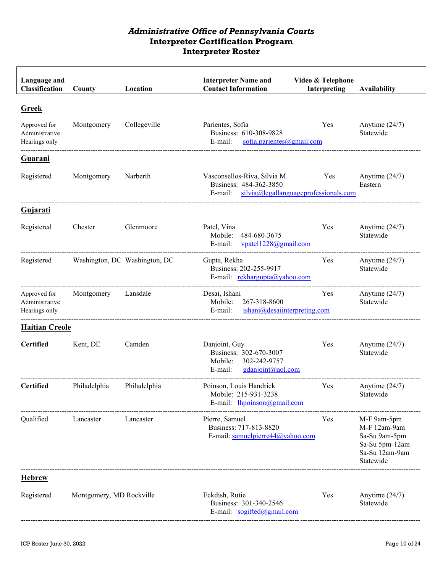| Language and<br>Classification                  | County                   | Location                      | <b>Interpreter Name and</b><br><b>Contact Information</b>                                                     | Video & Telephone<br>Interpreting | <b>Availability</b>                                                                           |
|-------------------------------------------------|--------------------------|-------------------------------|---------------------------------------------------------------------------------------------------------------|-----------------------------------|-----------------------------------------------------------------------------------------------|
| <b>Greek</b><br>Approved for                    | Montgomery               | Collegeville                  | Parientes, Sofia                                                                                              | Yes                               | Anytime $(24/7)$                                                                              |
| Administrative<br>Hearings only                 |                          |                               | Business: 610-308-9828<br>sofia.parientes@gmail.com<br>E-mail:                                                |                                   | Statewide                                                                                     |
| <b>Guarani</b>                                  |                          |                               |                                                                                                               |                                   |                                                                                               |
| Registered                                      | Montgomery               | Narberth                      | Vasconsellos-Riva, Silvia M.<br>Business: 484-362-3850<br>$silvia@$ legallanguageprofessionals.com<br>E-mail: | Yes                               | Anytime $(24/7)$<br>Eastern                                                                   |
| Gujarati                                        |                          |                               |                                                                                                               |                                   |                                                                                               |
| Registered                                      | Chester                  | Glenmoore                     | Patel, Vina<br>Mobile:<br>484-680-3675<br>E-mail:<br>vpatel1228@gmail.com                                     | Yes                               | Anytime $(24/7)$<br>Statewide                                                                 |
| Registered                                      |                          | Washington, DC Washington, DC | Gupta, Rekha<br>Business: 202-255-9917<br>E-mail: rekhargupta@yahoo.com                                       | Yes                               | Anytime $(24/7)$<br>Statewide                                                                 |
| Approved for<br>Administrative<br>Hearings only | Montgomery               | Lansdale                      | Desai, Ishani<br>267-318-8600<br>Mobile:<br>E-mail:<br>ishani@desaiinterpreting.com                           | Yes                               | Anytime $(24/7)$<br>Statewide                                                                 |
| <b>Haitian Creole</b>                           |                          |                               |                                                                                                               |                                   |                                                                                               |
| <b>Certified</b>                                | Kent, DE                 | Camden                        | Danjoint, Guy<br>Business: 302-670-3007<br>302-242-9757<br>Mobile:<br>gdanjoint@aol.com<br>E-mail:            | Yes                               | Anytime $(24/7)$<br>Statewide                                                                 |
| <b>Certified</b>                                | Philadelphia             | Philadelphia                  | Poinson, Louis Handrick<br>Mobile: 215-931-3238<br>E-mail: lhpoinson@gmail.com                                | Yes                               | Anytime $(24/7)$<br>Statewide                                                                 |
| Qualified                                       | Lancaster                | Lancaster                     | Pierre, Samuel<br>Business: 717-813-8820<br>E-mail: samuelpierre44@yahoo.com                                  | Yes                               | M-F 9am-5pm<br>M-F 12am-9am<br>Sa-Su 9am-5pm<br>Sa-Su 5pm-12am<br>Sa-Su 12am-9am<br>Statewide |
| <b>Hebrew</b>                                   |                          |                               |                                                                                                               |                                   |                                                                                               |
| Registered                                      | Montgomery, MD Rockville |                               | Eckdish, Rutie<br>Business: 301-340-2546<br>E-mail: sogifted@gmail.com                                        | Yes                               | Anytime $(24/7)$<br>Statewide                                                                 |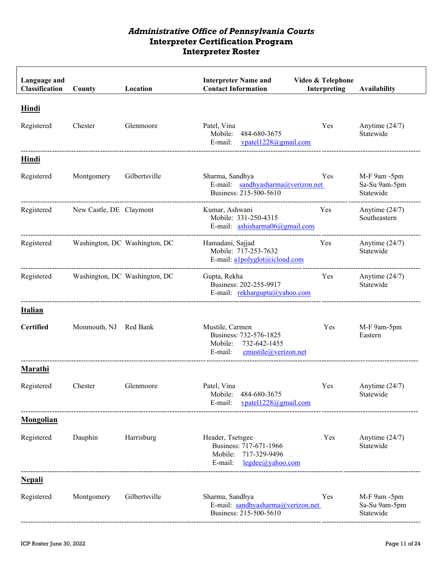| Language and<br><b>Classification</b> | County                  | Location                      | <b>Interpreter Name and</b><br><b>Contact Information</b>                                            | Video & Telephone<br>Interpreting | Availability                               |
|---------------------------------------|-------------------------|-------------------------------|------------------------------------------------------------------------------------------------------|-----------------------------------|--------------------------------------------|
| <b>Hindi</b><br>Registered            | Chester                 | Glenmoore                     | Patel, Vina<br>Mobile:<br>484-680-3675<br>vpatel1228@gmail.com<br>E-mail:                            | Yes                               | Anytime $(24/7)$<br>Statewide              |
| <b>Hindi</b>                          |                         |                               |                                                                                                      |                                   |                                            |
| Registered                            | Montgomery              | Gilbertsville                 | Sharma, Sandhya<br>E-mail: sandhyasharma@verizon.net<br>Business: 215-500-5610                       | <b>Yes</b>                        | M-F 9am -5pm<br>Sa-Su 9am-5pm<br>Statewide |
| Registered                            | New Castle, DE Claymont |                               | Kumar, Ashwani<br>Mobile: 331-250-4315<br>E-mail: ashisharma06@gmail.com                             | <b>Yes</b>                        | Anytime $(24/7)$<br>Southeastern           |
| Registered                            |                         | Washington, DC Washington, DC | Hamadani, Sajjad<br>Mobile: 717-253-7632<br>E-mail: alpolyglot@icloud.com                            | Yes                               | Anytime $(24/7)$<br>Statewide              |
| Registered                            |                         | Washington, DC Washington, DC | Gupta, Rekha<br>Business: 202-255-9917<br>E-mail: rekhargupta@yahoo.com                              | Yes                               | Anytime $(24/7)$<br>Statewide              |
| <b>Italian</b>                        |                         |                               |                                                                                                      |                                   |                                            |
| <b>Certified</b>                      | Monmouth, NJ Red Bank   |                               | Mustile, Carmen<br>Business: 732-576-1825<br>Mobile: 732-642-1455<br>cmustile@verizon.net<br>E-mail: | Yes                               | M-F 9am-5pm<br>Eastern                     |
| Marathi                               |                         |                               |                                                                                                      |                                   |                                            |
| Registered                            | Chester                 | Glenmoore                     | Patel, Vina<br>484-680-3675<br>Mobile:<br>E-mail:<br>vpatel1228@gmail.com                            | Yes                               | Anytime $(24/7)$<br>Statewide              |
| <b>Mongolian</b>                      |                         |                               |                                                                                                      |                                   |                                            |
| Registered                            | Dauphin                 | Harrisburg                    | Header, Tsetsgee<br>Business: 717-671-1966<br>Mobile: 717-329-9496<br>E-mail:<br>legdee@yahoo.com    | Yes                               | Anytime $(24/7)$<br>Statewide              |
| <b>Nepali</b>                         |                         |                               |                                                                                                      |                                   |                                            |
| Registered                            | Montgomery              | Gilbertsville                 | Sharma, Sandhya<br>E-mail: sandhyasharma@verizon.net<br>Business: 215-500-5610                       | Yes                               | M-F 9am -5pm<br>Sa-Su 9am-5pm<br>Statewide |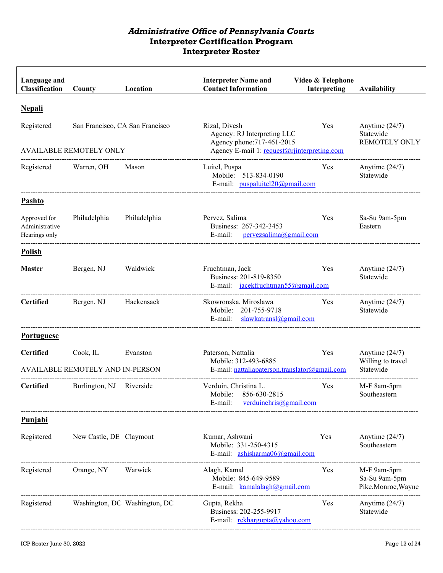| Language and<br><b>Classification</b>           | County                                                            | Location                      | <b>Interpreter Name and</b><br><b>Contact Information</b>                                                                 | Video & Telephone<br>Interpreting | <b>Availability</b>                                   |
|-------------------------------------------------|-------------------------------------------------------------------|-------------------------------|---------------------------------------------------------------------------------------------------------------------------|-----------------------------------|-------------------------------------------------------|
| <b>Nepali</b>                                   |                                                                   |                               |                                                                                                                           |                                   |                                                       |
| Registered                                      | San Francisco, CA San Francisco<br><b>AVAILABLE REMOTELY ONLY</b> |                               | Rizal, Divesh<br>Agency: RJ Interpreting LLC<br>Agency phone: 717-461-2015<br>Agency E-mail 1: request@rjinterpreting.com | Yes                               | Anytime $(24/7)$<br>Statewide<br><b>REMOTELY ONLY</b> |
| Registered Warren, OH                           |                                                                   | Mason                         | Luitel, Puspa<br>Mobile: 513-834-0190<br>E-mail: $puspaluitel20@gmail.com$                                                | Yes                               | Anytime $(24/7)$<br>Statewide                         |
| Pashto                                          |                                                                   |                               |                                                                                                                           |                                   |                                                       |
| Approved for<br>Administrative<br>Hearings only | Philadelphia                                                      | Philadelphia                  | Pervez, Salima<br>Business: 267-342-3453<br>E-mail:<br>pervezsalima@gmail.com                                             | Yes                               | Sa-Su 9am-5pm<br>Eastern                              |
| <b>Polish</b>                                   |                                                                   |                               |                                                                                                                           |                                   |                                                       |
| <b>Master</b>                                   | Bergen, NJ                                                        | Waldwick                      | Fruchtman, Jack<br>Business: 201-819-8350<br>E-mail: jacekfruchtman55@gmail.com                                           | Yes                               | Anytime $(24/7)$<br>Statewide                         |
| <b>Certified</b>                                | Bergen, NJ                                                        | Hackensack                    | Skowronska, Miroslawa<br>Mobile: 201-755-9718<br>slawkatransl@gmail.com<br>E-mail:                                        | Yes                               | Anytime $(24/7)$<br>Statewide                         |
| <b>Portuguese</b>                               |                                                                   |                               |                                                                                                                           |                                   |                                                       |
| <b>Certified</b>                                | Cook, IL<br>AVAILABLE REMOTELY AND IN-PERSON                      | Evanston                      | Paterson, Nattalia<br>Mobile: 312-493-6885<br>E-mail: nattaliapaterson.translator@gmail.com                               | Yes                               | Anytime $(24/7)$<br>Willing to travel<br>Statewide    |
| <b>Certified</b>                                | Burlington, NJ                                                    | Riverside                     | Verduin, Christina L.<br>856-630-2815<br>Mobile:<br>E-mail:<br>verduinchris@gmail.com                                     | Yes                               | M-F 8am-5pm<br>Southeastern                           |
| <b>Punjabi</b>                                  |                                                                   |                               |                                                                                                                           |                                   |                                                       |
| Registered                                      | New Castle, DE Claymont                                           |                               | Kumar, Ashwani<br>Mobile: 331-250-4315<br>E-mail: ashisharma06@gmail.com                                                  | Yes                               | Anytime $(24/7)$<br>Southeastern                      |
| Registered                                      | Orange, NY                                                        | Warwick                       | Alagh, Kamal<br>Mobile: 845-649-9589<br>E-mail: kamalalagh@gmail.com                                                      | Yes                               | M-F 9am-5pm<br>Sa-Su 9am-5pm<br>Pike, Monroe, Wayne   |
| Registered                                      |                                                                   | Washington, DC Washington, DC | Gupta, Rekha<br>Business: 202-255-9917<br>E-mail: rekhargupta@yahoo.com                                                   | Yes                               | Anytime $(24/7)$<br>Statewide                         |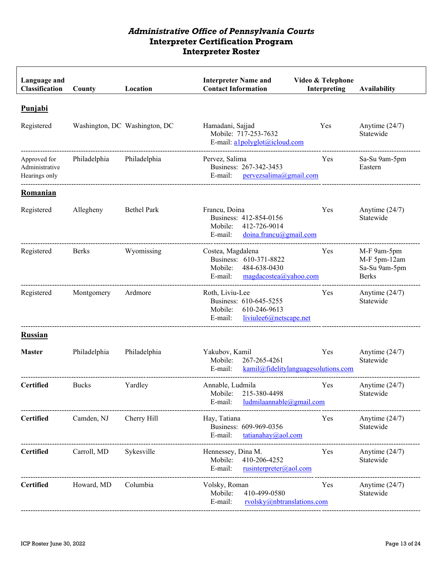| Language and<br>Classification                  | County       | Location                      | <b>Interpreter Name and</b><br><b>Contact Information</b>                                                           | Video & Telephone<br>Interpreting | Availability                                                 |
|-------------------------------------------------|--------------|-------------------------------|---------------------------------------------------------------------------------------------------------------------|-----------------------------------|--------------------------------------------------------------|
| <b>Punjabi</b>                                  |              |                               |                                                                                                                     |                                   |                                                              |
| Registered                                      |              | Washington, DC Washington, DC | Hamadani, Sajjad<br>Mobile: 717-253-7632<br>E-mail: alpolyglot@icloud.com                                           | Yes                               | Anytime $(24/7)$<br>Statewide                                |
| Approved for<br>Administrative<br>Hearings only | Philadelphia | Philadelphia                  | Pervez, Salima<br>Business: 267-342-3453<br>E-mail:<br>pervezsalima@gmail.com                                       | Yes                               | Sa-Su 9am-5pm<br>Eastern                                     |
| Romanian                                        |              |                               |                                                                                                                     |                                   |                                                              |
| Registered                                      | Allegheny    | <b>Bethel Park</b>            | Francu, Doina<br>Business: 412-854-0156<br>412-726-9014<br>Mobile:<br>doina.francu@gmail.com<br>E-mail:             | Yes                               | Anytime $(24/7)$<br>Statewide                                |
| Registered                                      | <b>Berks</b> | Wyomissing                    | Costea, Magdalena<br>Business: 610-371-8822<br>Mobile:<br>484-638-0430<br>E-mail:<br>$magda\csc(a\alpha)$ yahoo.com | Yes                               | M-F 9am-5pm<br>M-F 5pm-12am<br>Sa-Su 9am-5pm<br><b>Berks</b> |
| Registered                                      | Montgomery   | Ardmore                       | Roth, Liviu-Lee<br>Business: 610-645-5255<br>610-246-9613<br>Mobile:<br>liviulee6@netscape.net<br>E-mail:           | Yes                               | Anytime $(24/7)$<br>Statewide                                |
| <b>Russian</b>                                  |              |                               |                                                                                                                     |                                   |                                                              |
| <b>Master</b>                                   | Philadelphia | Philadelphia                  | Yakubov, Kamil<br>Mobile:<br>267-265-4261<br>kamil@fidelitylanguagesolutions.com<br>$E$ -mail:                      | Yes                               | Anytime $(24/7)$<br>Statewide                                |
| <b>Certified</b>                                | <b>Bucks</b> | Yardley                       | Annable, Ludmila<br>Mobile: 215-380-4498<br>ludmilaannable@gmail.com<br>E-mail:                                     | Yes                               | Anytime $(24/7)$<br>Statewide                                |
| <b>Certified</b>                                | Camden, NJ   | Cherry Hill                   | Hay, Tatiana<br>Business: 609-969-0356<br>E-mail:<br>$\frac{\tan \tan \tan \sqrt{a}}{a}$                            | Yes                               | Anytime $(24/7)$<br>Statewide                                |
| <b>Certified</b>                                | Carroll, MD  | Sykesville                    | Hennessey, Dina M.<br>Mobile:<br>410-206-4252<br>E-mail:<br>rusinterpreter@aol.com                                  | Yes                               | Anytime $(24/7)$<br>Statewide                                |
| <b>Certified</b>                                | Howard, MD   | Columbia                      | Volsky, Roman<br>Mobile:<br>410-499-0580<br>E-mail:<br>rvolsky@nbtranslations.com                                   | Yes                               | Anytime $(24/7)$<br>Statewide                                |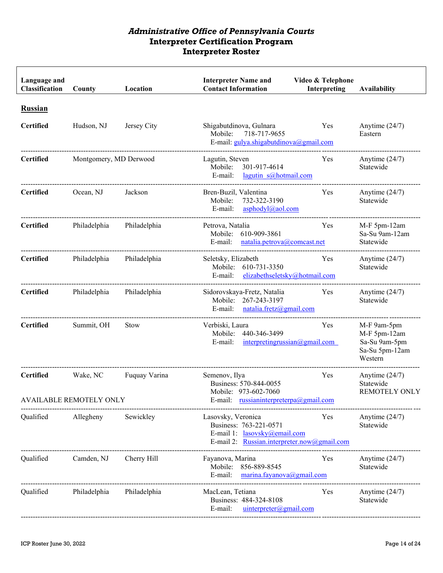| Language and<br>Classification     | County                              | Location      | <b>Interpreter Name and</b><br><b>Contact Information</b>                                                                   | Video & Telephone<br>Interpreting | <b>Availability</b>                                                       |
|------------------------------------|-------------------------------------|---------------|-----------------------------------------------------------------------------------------------------------------------------|-----------------------------------|---------------------------------------------------------------------------|
| <b>Russian</b><br><b>Certified</b> | Hudson, NJ                          | Jersey City   | Shigabutdinova, Gulnara<br>Mobile:<br>718-717-9655<br>E-mail: gulya.shigabutdinova@gmail.com                                | Yes                               | Anytime $(24/7)$<br>Eastern                                               |
| <b>Certified</b>                   | Montgomery, MD Derwood              |               | Lagutin, Steven<br>301-917-4614<br>Mobile:<br>$lagutin$ s@hotmail.com<br>E-mail:                                            | Yes                               | Anytime $(24/7)$<br>Statewide                                             |
| <b>Certified</b>                   | Ocean, NJ                           | Jackson       | Bren-Buzil, Valentina<br>732-322-3190<br>Mobile:<br>asphodyl@aol.com<br>E-mail:                                             | Yes                               | Anytime $(24/7)$<br>Statewide                                             |
| <b>Certified</b>                   | Philadelphia                        | Philadelphia  | Petrova, Natalia<br>610-909-3861<br>Mobile:<br>E-mail:<br>natalia.petrova@comcast.net                                       | Yes                               | M-F 5pm-12am<br>Sa-Su 9am-12am<br>Statewide                               |
| <b>Certified</b>                   | Philadelphia                        | Philadelphia  | Seletsky, Elizabeth<br>Mobile: 610-731-3350<br>elizabethseletsky@hotmail.com<br>E-mail:                                     | Yes                               | Anytime $(24/7)$<br>Statewide                                             |
| <b>Certified</b>                   | Philadelphia                        | Philadelphia  | Sidorovskaya-Fretz, Natalia<br>Mobile:<br>267-243-3197<br>natalia.fretz@gmail.com<br>E-mail:                                | Yes                               | Anytime $(24/7)$<br>Statewide                                             |
| <b>Certified</b>                   | Summit, OH                          | <b>Stow</b>   | Verbiski, Laura<br>Mobile:<br>440-346-3499<br>E-mail:<br>interpretingrussian@gmail.com                                      | Yes                               | M-F 9am-5pm<br>M-F 5pm-12am<br>Sa-Su 9am-5pm<br>Sa-Su 5pm-12am<br>Western |
| <b>Certified</b>                   | Wake, NC<br>AVAILABLE REMOTELY ONLY | Fuquay Varina | Semenov, Ilya<br>Business: 570-844-0055<br>Mobile: 973-602-7060<br>E-mail: russianinterpreterpa@gmail.com                   | Yes                               | Anytime $(24/7)$<br>Statewide<br><b>REMOTELY ONLY</b>                     |
| Qualified                          | Allegheny                           | Sewickley     | Lasovsky, Veronica<br>Business: 763-221-0571<br>E-mail 1: lasovsky@email.com<br>E-mail 2: Russian.interpreter.now@gmail.com | Yes                               | Anytime $(24/7)$<br>Statewide                                             |
| Qualified                          | Camden, NJ                          | Cherry Hill   | Fayanova, Marina<br>856-889-8545<br>Mobile:<br>E-mail:<br>$\frac{\text{marina.fayanova}(a) \text{gmail.com}}{a}$            | Yes                               | Anytime $(24/7)$<br>Statewide                                             |
| Qualified                          | Philadelphia                        | Philadelphia  | MacLean, Tetiana<br>Business: 484-324-8108<br>uinterpreter@gmail.com<br>E-mail:                                             | Yes                               | Anytime $(24/7)$<br>Statewide                                             |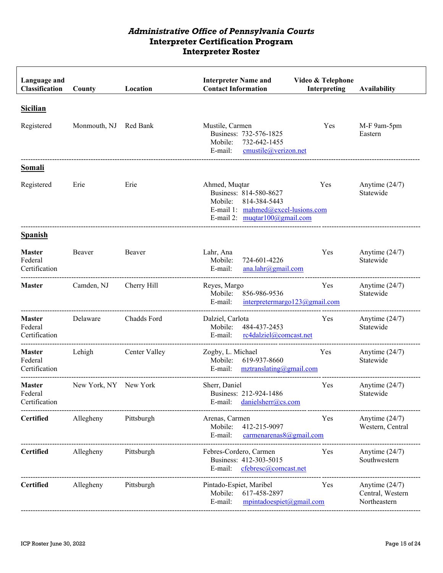| Language and<br>Classification            | County                | Location      | <b>Interpreter Name and</b><br><b>Contact Information</b>                                                                                      | Video & Telephone<br>Interpreting    | <b>Availability</b>                                  |
|-------------------------------------------|-----------------------|---------------|------------------------------------------------------------------------------------------------------------------------------------------------|--------------------------------------|------------------------------------------------------|
| <b>Sicilian</b>                           |                       |               |                                                                                                                                                |                                      |                                                      |
| Registered                                | Monmouth, NJ Red Bank |               | Mustile, Carmen<br>Business: 732-576-1825<br>732-642-1455<br>Mobile:<br>cmustile@verizon.net<br>E-mail:                                        | Yes                                  | M-F 9am-5pm<br>Eastern                               |
| Somali                                    |                       |               |                                                                                                                                                |                                      |                                                      |
| Registered                                | Erie                  | Erie          | Ahmed, Muqtar<br>Business: 814-580-8627<br>Mobile:<br>814-384-5443<br>E-mail 1: mahmed@excel-lusions.com<br>E-mail 2: $muqtar100$ (algmail.com | Yes                                  | Anytime $(24/7)$<br>Statewide                        |
| <b>Spanish</b>                            |                       |               |                                                                                                                                                |                                      |                                                      |
| <b>Master</b><br>Federal<br>Certification | Beaver                | Beaver        | Lahr, Ana<br>724-601-4226<br>Mobile:<br>E-mail:<br>ana.lahr@gmail.com                                                                          | Yes                                  | Anytime $(24/7)$<br>Statewide                        |
| <b>Master</b>                             | Camden, NJ            | Cherry Hill   | Reyes, Margo<br>856-986-9536<br>Mobile:<br>E-mail:                                                                                             | Yes<br>interpretermargo123@gmail.com | Anytime $(24/7)$<br>Statewide                        |
| <b>Master</b><br>Federal<br>Certification | Delaware              | Chadds Ford   | Dalziel, Carlota<br>Mobile:<br>484-437-2453<br>E-mail:<br>rc4dalziel@comcast.net                                                               | Yes                                  | Anytime $(24/7)$<br>Statewide                        |
| <b>Master</b><br>Federal<br>Certification | Lehigh                | Center Valley | Zogby, L. Michael<br>Mobile:<br>619-937-8660<br>E-mail:<br>$mz$ translating@gmail.com                                                          | Yes                                  | Anytime $(24/7)$<br>Statewide                        |
| <b>Master</b><br>Federal<br>Certification | New York, NY New York |               | Sherr, Daniel<br>Business: 212-924-1486<br>E-mail: danielsherr@cs.com                                                                          | Yes                                  | Anytime $(24/7)$<br>Statewide                        |
| <b>Certified</b>                          | Allegheny             | Pittsburgh    | Arenas, Carmen<br>412-215-9097<br>Mobile:<br>E-mail:<br>carnenarenas 8@gmail.com                                                               | Yes                                  | Anytime $(24/7)$<br>Western, Central                 |
| <b>Certified</b>                          | Allegheny             | Pittsburgh    | Febres-Cordero, Carmen<br>Business: 412-303-5015<br>E-mail:<br>cfebresc@comcast.net                                                            | Yes                                  | Anytime $(24/7)$<br>Southwestern                     |
| <b>Certified</b>                          | Allegheny             | Pittsburgh    | Pintado-Espiet, Maribel<br>617-458-2897<br>Mobile:<br>E-mail:<br>$mpintadoespiet(\omega gmail.com)$                                            | Yes                                  | Anytime $(24/7)$<br>Central, Western<br>Northeastern |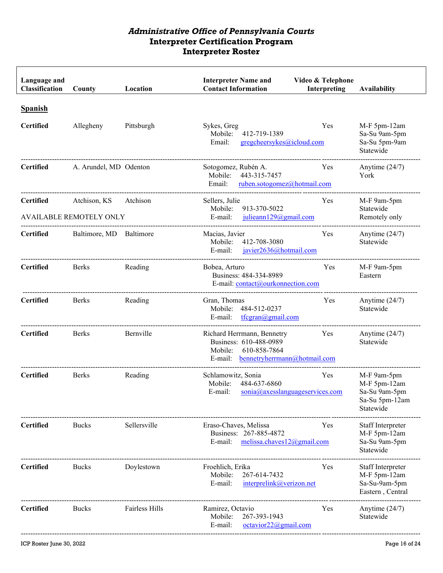| Language and<br>Classification     | County                                         | Location       | <b>Interpreter Name and</b><br><b>Contact Information</b>                                                               | Video & Telephone<br>Interpreting               | <b>Availability</b>                                                         |
|------------------------------------|------------------------------------------------|----------------|-------------------------------------------------------------------------------------------------------------------------|-------------------------------------------------|-----------------------------------------------------------------------------|
| <b>Spanish</b><br><b>Certified</b> | Allegheny                                      | Pittsburgh     | Sykes, Greg<br>Mobile:<br>412-719-1389<br>Email:<br>gregcheersykes@icloud.com                                           | Yes                                             | M-F 5pm-12am<br>Sa-Su 9am-5pm<br>Sa-Su 5pm-9am<br>Statewide                 |
| <b>Certified</b>                   | A. Arundel, MD Odenton                         |                | Sotogomez, Rubén A.<br>443-315-7457<br>Mobile:<br>Email:<br>ruben.sotogomez@hotmail.com                                 | Yes                                             | Anytime $(24/7)$<br>York                                                    |
| <b>Certified</b>                   | Atchison, KS<br><b>AVAILABLE REMOTELY ONLY</b> | Atchison       | Sellers, Julie<br>913-370-5022<br>Mobile:<br>E-mail:<br>julieann129@gmail.com                                           | Yes                                             | M-F 9am-5pm<br>Statewide<br>Remotely only                                   |
| <b>Certified</b>                   | Baltimore, MD                                  | Baltimore      | Macias, Javier<br>Mobile:<br>412-708-3080<br>E-mail:<br>javier2636@hotmail.com                                          | Yes                                             | Anytime $(24/7)$<br>Statewide                                               |
| <b>Certified</b>                   | Berks                                          | Reading        | Bobea, Arturo<br>Business: 484-334-8989<br>E-mail: contact@ourkonnection.com                                            | Yes                                             | M-F 9am-5pm<br>Eastern                                                      |
| <b>Certified</b>                   | <b>Berks</b>                                   | Reading        | Gran, Thomas<br>484-512-0237<br>Mobile:<br>tfcgran@gmail.com<br>E-mail:                                                 | Yes                                             | Anytime $(24/7)$<br>Statewide                                               |
| <b>Certified</b>                   | <b>Berks</b>                                   | Bernville      | Richard Herrmann, Bennetry<br>Business: 610-488-0989<br>Mobile:<br>610-858-7864<br>E-mail: bennetryherrmann@hotmail.com | Yes                                             | Anytime $(24/7)$<br>Statewide                                               |
| <b>Certified</b>                   | <b>Berks</b>                                   | Reading        | Schlamowitz, Sonia<br>Mobile:<br>484-637-6860<br>E-mail:                                                                | <b>Yes</b><br>$sonia@axes$ languageservices.com | M-F 9am-5pm<br>M-F 5pm-12am<br>Sa-Su 9am-5pm<br>Sa-Su 5pm-12am<br>Statewide |
| <b>Certified</b>                   | <b>Bucks</b>                                   | Sellersville   | Eraso-Chaves, Melissa<br>Business: 267-885-4872<br>E-mail:<br>melissa.chaves12@gmail.com                                | Yes                                             | Staff Interpreter<br>M-F 5pm-12am<br>Sa-Su 9am-5pm<br>Statewide             |
| <b>Certified</b>                   | <b>Bucks</b>                                   | Doylestown     | Froehlich, Erika<br>267-614-7432<br>Mobile:<br>E-mail:<br>interprelink@verizon.net                                      | Yes                                             | Staff Interpreter<br>M-F 5pm-12am<br>Sa-Su-9am-5pm<br>Eastern, Central      |
| <b>Certified</b>                   | <b>Bucks</b>                                   | Fairless Hills | Ramirez, Octavio<br>267-393-1943<br>Mobile:<br>E-mail:<br>octavior22@gmail.com                                          | Yes                                             | Anytime $(24/7)$<br>Statewide                                               |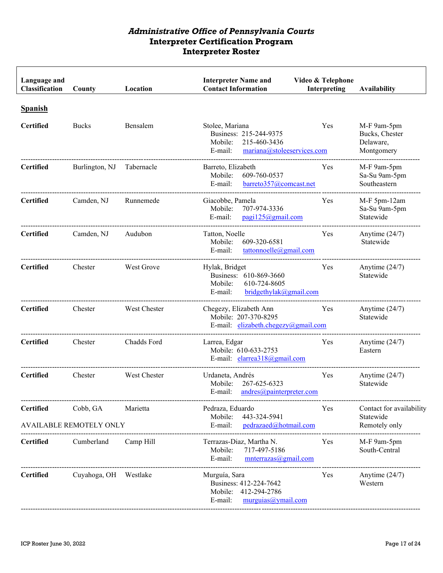| Language and<br>Classification | County                         | Location     | <b>Interpreter Name and</b><br><b>Contact Information</b>                                                     | Video & Telephone<br>Interpreting | <b>Availability</b>                                      |
|--------------------------------|--------------------------------|--------------|---------------------------------------------------------------------------------------------------------------|-----------------------------------|----------------------------------------------------------|
| <b>Spanish</b>                 |                                |              |                                                                                                               |                                   |                                                          |
| <b>Certified</b>               | <b>Bucks</b>                   | Bensalem     | Stolee, Mariana<br>Business: 215-244-9375<br>Mobile:<br>215-460-3436<br>E-mail:<br>mariana@stoleeservices.com | Yes                               | M-F 9am-5pm<br>Bucks, Chester<br>Delaware,<br>Montgomery |
| <b>Certified</b>               | Burlington, NJ                 | Tabernacle   | Barreto, Elizabeth<br>609-760-0537<br>Mobile:<br>E-mail:<br>barreto357@comcast.net                            | Yes                               | M-F 9am-5pm<br>Sa-Su 9am-5pm<br>Southeastern             |
| <b>Certified</b>               | Camden, NJ                     | Runnemede    | Giacobbe, Pamela<br>707-974-3336<br>Mobile:<br>E-mail:<br>pagi125@gmail.com                                   | Yes                               | M-F 5pm-12am<br>Sa-Su 9am-5pm<br>Statewide               |
| <b>Certified</b>               | Camden, NJ                     | Audubon      | Tatton, Noelle<br>609-320-6581<br>Mobile:<br>E-mail:<br>tattonnoelle@gmail.com                                | Yes                               | Anytime $(24/7)$<br>Statewide                            |
| <b>Certified</b>               | Chester                        | West Grove   | Hylak, Bridget<br>Business: 610-869-3660<br>Mobile:<br>610-724-8605<br>bridgethylak@gmail.com<br>E-mail:      | Yes                               | Anytime $(24/7)$<br>Statewide                            |
| <b>Certified</b>               | Chester                        | West Chester | Chegezy, Elizabeth Ann<br>Mobile: 207-370-8295<br>E-mail: elizabeth.chegezy@gmail.com                         | Yes                               | Anytime $(24/7)$<br>Statewide                            |
| <b>Certified</b>               | Chester                        | Chadds Ford  | Larrea, Edgar<br>Mobile: 610-633-2753<br>E-mail: elarrea318@gmail.com                                         | Yes                               | Anytime $(24/7)$<br>Eastern                              |
| <b>Certified</b>               | Chester                        | West Chester | Urdaneta, Andrés<br>267-625-6323<br>Mobile:<br>E-mail: andres@painterpreter.com                               | Yes                               | Anytime $(24/7)$<br>Statewide                            |
| <b>Certified</b>               | Cobb, GA                       | Marietta     | Pedraza, Eduardo<br>Mobile:<br>443-324-5941                                                                   | Yes                               | Contact for availability<br>Statewide                    |
|                                | <b>AVAILABLE REMOTELY ONLY</b> |              | E-mail:<br>pedrazaed@hotmail.com                                                                              |                                   | Remotely only                                            |
| <b>Certified</b>               | Cumberland                     | Camp Hill    | Terrazas-Diaz, Martha N.<br>Mobile:<br>717-497-5186<br>E-mail:<br>$m$ nterrazas $@g$ mail.com                 | Yes                               | M-F 9am-5pm<br>South-Central                             |
| <b>Certified</b>               | Cuyahoga, OH Westlake          |              | Murguía, Sara<br>Business: 412-224-7642<br>Mobile:<br>412-294-2786<br>E-mail:<br>murguias@ymail.com           | Yes                               | Anytime $(24/7)$<br>Western                              |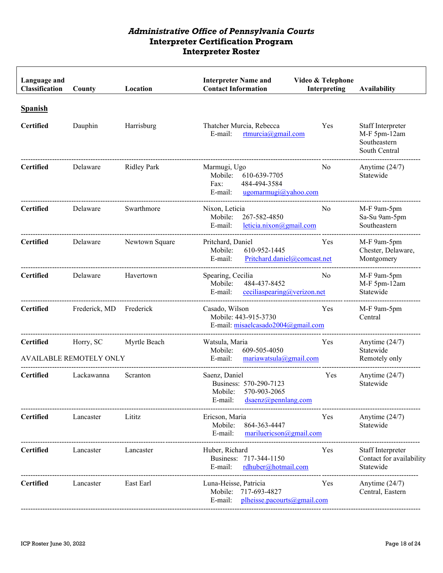| Language and<br>Classification | County                                      | Location           | <b>Interpreter Name and</b><br><b>Contact Information</b>                                          | Video & Telephone<br>Interpreting | <b>Availability</b>                                                |
|--------------------------------|---------------------------------------------|--------------------|----------------------------------------------------------------------------------------------------|-----------------------------------|--------------------------------------------------------------------|
| <b>Spanish</b><br>Certified    | Dauphin                                     | Harrisburg         | Thatcher Murcia, Rebecca<br>E-mail:<br>rtmurcia@gmail.com                                          | Yes                               | Staff Interpreter<br>M-F 5pm-12am<br>Southeastern<br>South Central |
| <b>Certified</b>               | Delaware                                    | <b>Ridley Park</b> | Marmugi, Ugo<br>Mobile:<br>610-639-7705<br>484-494-3584<br>Fax:<br>E-mail:<br>ugomarmugi@yahoo.com | No                                | Anytime $(24/7)$<br>Statewide                                      |
| <b>Certified</b>               | Delaware                                    | Swarthmore         | Nixon, Leticia<br>267-582-4850<br>Mobile:<br>E-mail:<br>leticia.nixon@gmail.com                    | No                                | M-F 9am-5pm<br>Sa-Su 9am-5pm<br>Southeastern                       |
| <b>Certified</b>               | Delaware                                    | Newtown Square     | Pritchard, Daniel<br>610-952-1445<br>Mobile:<br>E-mail:<br>Pritchard.daniel@comcast.net            | Yes                               | M-F 9am-5pm<br>Chester, Delaware,<br>Montgomery                    |
| <b>Certified</b>               | Delaware                                    | Havertown          | Spearing, Cecilia<br>484-437-8452<br>Mobile:<br>E-mail:<br>ceciliaspearing@verizon.net             | N <sub>0</sub>                    | M-F 9am-5pm<br>M-F 5pm-12am<br>Statewide                           |
| <b>Certified</b>               | Frederick, MD                               | Frederick          | Casado, Wilson<br>Mobile: 443-915-3730<br>E-mail: misaelcasado2004@gmail.com                       | Yes                               | M-F 9am-5pm<br>Central                                             |
| <b>Certified</b>               | Horry, SC<br><b>AVAILABLE REMOTELY ONLY</b> | Myrtle Beach       | Watsula, Maria<br>609-505-4050<br>Mobile:<br>E-mail:<br>$mariawatsula(Q)gmail.com$                 | Yes                               | Anytime $(24/7)$<br>Statewide<br>Remotely only                     |
| <b>Certified</b>               | Lackawanna                                  | Scranton           | Saenz, Daniel<br>Business: 570-290-7123<br>Mobile: 570-903-2065<br>E-mail:<br>dsaenz@pennlang.com  | Yes                               | Anytime $(24/7)$<br>Statewide                                      |
| <b>Certified</b>               | Lancaster                                   | Lititz             | Ericson, Maria<br>Mobile:<br>864-363-4447<br>E-mail:<br>$mariluericson(\partial gmail.com)$        | Yes                               | Anytime $(24/7)$<br>Statewide                                      |
| <b>Certified</b>               | Lancaster                                   | Lancaster          | Huber, Richard<br>717-344-1150<br>Business:<br>E-mail:<br>rdhuber@hotmail.com                      | Yes                               | Staff Interpreter<br>Contact for availability<br>Statewide         |
| <b>Certified</b>               | Lancaster                                   | East Earl          | Luna-Heisse, Patricia<br>717-693-4827<br>Mobile:<br>plheisse.pacourts@gmail.com<br>E-mail:         | Yes                               | Anytime $(24/7)$<br>Central, Eastern                               |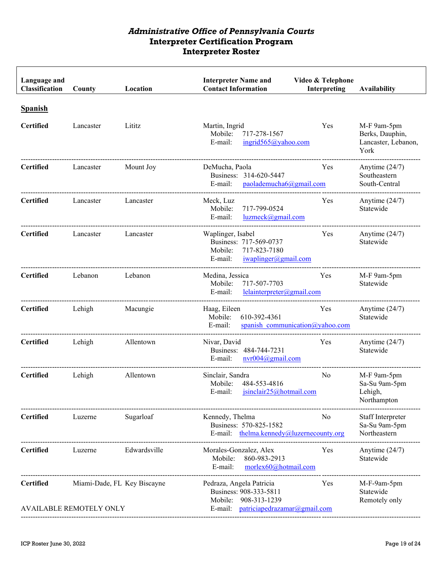| Language and<br>Classification     | County                                                        | Location     | <b>Interpreter Name and</b><br><b>Contact Information</b>                                                                | Video & Telephone<br>Interpreting | <b>Availability</b>                                           |
|------------------------------------|---------------------------------------------------------------|--------------|--------------------------------------------------------------------------------------------------------------------------|-----------------------------------|---------------------------------------------------------------|
| <b>Spanish</b><br><b>Certified</b> | Lancaster                                                     | Lititz       | Martin, Ingrid<br>Mobile:<br>717-278-1567<br>E-mail:<br>ingrid565@yahoo.com                                              | Yes                               | M-F 9am-5pm<br>Berks, Dauphin,<br>Lancaster, Lebanon,<br>York |
| <b>Certified</b>                   | Lancaster                                                     | Mount Joy    | DeMucha, Paola<br>Business: 314-620-5447<br>E-mail:<br>paolademucha6@gmail.com                                           | Yes                               | Anytime $(24/7)$<br>Southeastern<br>South-Central             |
| <b>Certified</b>                   | Lancaster                                                     | Lancaster    | Meck, Luz<br>717-799-0524<br>Mobile:<br>E-mail:<br>luzmeck@gmail.com                                                     | Yes                               | Anytime $(24/7)$<br>Statewide                                 |
| <b>Certified</b>                   | Lancaster                                                     | Lancaster    | Waplinger, Isabel<br>Business: 717-569-0737<br>717-823-7180<br>Mobile:<br>iwaplinger@gmail.com<br>E-mail:                | Yes                               | Anytime $(24/7)$<br>Statewide                                 |
| <b>Certified</b>                   | Lebanon                                                       | Lebanon      | Medina, Jessica<br>717-507-7703<br>Mobile:<br>lelainterpreter@gmail.com<br>E-mail:                                       | Yes                               | M-F 9am-5pm<br>Statewide                                      |
| <b>Certified</b>                   | Lehigh                                                        | Macungie     | Haag, Eileen<br>Mobile:<br>610-392-4361<br>E-mail:<br>spanish communication@yahoo.com                                    | Yes                               | Anytime $(24/7)$<br>Statewide                                 |
| <b>Certified</b>                   | Lehigh                                                        | Allentown    | Nivar, David<br>Business: 484-744-7231<br>nvr004@gmail.com<br>E-mail:                                                    | Yes                               | Anytime $(24/7)$<br>Statewide                                 |
| <b>Certified</b>                   | Lehigh                                                        | Allentown    | Sinclair, Sandra<br>484-553-4816<br>Mobile:<br>E-mail:<br>isinclair25@hotmail.com                                        | No                                | M-F 9am-5pm<br>Sa-Su 9am-5pm<br>Lehigh,<br>Northampton        |
| <b>Certified</b>                   | Luzerne                                                       | Sugarloaf    | Kennedy, Thelma<br>Business: 570-825-1582<br>E-mail: thelma.kennedy@luzernecounty.org                                    | No                                | Staff Interpreter<br>Sa-Su 9am-5pm<br>Northeastern            |
| <b>Certified</b>                   | Luzerne                                                       | Edwardsville | Morales-Gonzalez, Alex<br>860-983-2913<br>Mobile:<br>morlex60@hotmail.com<br>E-mail:                                     | Yes                               | Anytime $(24/7)$<br>Statewide                                 |
| <b>Certified</b>                   | Miami-Dade, FL Key Biscayne<br><b>AVAILABLE REMOTELY ONLY</b> |              | Pedraza, Angela Patricia<br>Business: 908-333-5811<br>908-313-1239<br>Mobile:<br>patriciapedrazamar@gmail.com<br>E-mail: | Yes                               | M-F-9am-5pm<br>Statewide<br>Remotely only                     |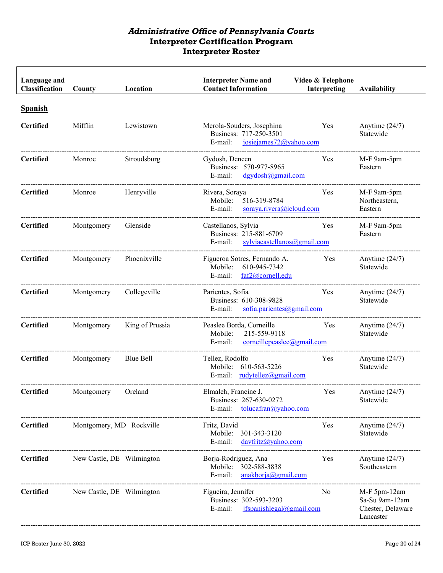| Language and<br>Classification     | County                    | Location        | <b>Interpreter Name and</b><br><b>Contact Information</b>                                    | Video & Telephone<br>Interpreting | <b>Availability</b>                                              |
|------------------------------------|---------------------------|-----------------|----------------------------------------------------------------------------------------------|-----------------------------------|------------------------------------------------------------------|
| <b>Spanish</b><br><b>Certified</b> | Mifflin                   | Lewistown       | Merola-Souders, Josephina<br>Business: 717-250-3501<br>E-mail:<br>josiejames $72@$ yahoo.com | Yes                               | Anytime $(24/7)$<br>Statewide                                    |
| <b>Certified</b>                   | Monroe                    | Stroudsburg     | Gydosh, Deneen<br>Business: 570-977-8965<br>$dgydosh(ω)$ gmail.com<br>E-mail:                | Yes                               | M-F 9am-5pm<br>Eastern                                           |
| <b>Certified</b>                   | Monroe                    | Henryville      | Rivera, Soraya<br>516-319-8784<br>Mobile:<br>E-mail:<br>soraya.rivera@icloud.com             | Yes                               | M-F 9am-5pm<br>Northeastern,<br>Eastern                          |
| <b>Certified</b>                   | Montgomery                | Glenside        | Castellanos, Sylvia<br>Business: 215-881-6709<br>sylviacastellanos@gmail.com<br>E-mail:      | Yes                               | M-F 9am-5pm<br>Eastern                                           |
| <b>Certified</b>                   | Montgomery                | Phoenixville    | Figueroa Sotres, Fernando A.<br>610-945-7342<br>Mobile:<br>faf2@cornell.edu<br>E-mail:       | Yes                               | Anytime $(24/7)$<br>Statewide                                    |
| <b>Certified</b>                   | Montgomery                | Collegeville    | Parientes, Sofia<br>Business: 610-308-9828<br>E-mail:<br>sofia.parientes@gmail.com           | Yes                               | Anytime $(24/7)$<br>Statewide                                    |
| <b>Certified</b>                   | Montgomery                | King of Prussia | Peaslee Borda, Corneille<br>Mobile:<br>215-559-9118<br>E-mail:<br>corneillepeaslee@gmail.com | Yes                               | Anytime $(24/7)$<br>Statewide                                    |
| <b>Certified</b>                   | Montgomery                | Blue Bell       | Tellez, Rodolfo<br>Mobile: 610-563-5226<br>E-mail: $rudvtelez@gmail.com$                     | Yes                               | Anytime $(24/7)$<br>Statewide                                    |
| <b>Certified</b>                   | Montgomery                | Oreland         | Elmaleh, Francine J.<br>Business: 267-630-0272<br>E-mail:<br>$tolucafran(a)$ yahoo.com       | Yes                               | Anytime $(24/7)$<br>Statewide                                    |
| <b>Certified</b>                   | Montgomery, MD Rockville  |                 | Fritz, David<br>Mobile:<br>301-343-3120<br>E-mail:<br>davfritz@yahoo.com                     | Yes                               | Anytime $(24/7)$<br>Statewide                                    |
| <b>Certified</b>                   | New Castle, DE Wilmington |                 | Borja-Rodriguez, Ana<br>Mobile: 302-588-3838<br>anakborja@gmail.com<br>E-mail:               | Yes                               | Anytime $(24/7)$<br>Southeastern                                 |
| <b>Certified</b>                   | New Castle, DE Wilmington |                 | Figueira, Jennifer<br>Business: 302-593-3203<br>E-mail:<br>jfspanishlegal@gmail.com          | No                                | M-F 5pm-12am<br>Sa-Su 9am-12am<br>Chester, Delaware<br>Lancaster |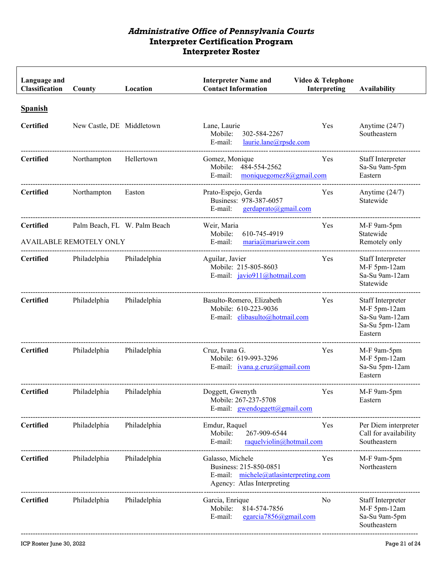| Language and<br>Classification | County                                                         | Location     | <b>Interpreter Name and</b><br><b>Contact Information</b>                                                         | Video & Telephone<br>Interpreting | <b>Availability</b>                                                              |
|--------------------------------|----------------------------------------------------------------|--------------|-------------------------------------------------------------------------------------------------------------------|-----------------------------------|----------------------------------------------------------------------------------|
| <b>Spanish</b>                 |                                                                |              |                                                                                                                   |                                   |                                                                                  |
| <b>Certified</b>               | New Castle, DE Middletown                                      |              | Lane, Laurie<br>Mobile:<br>302-584-2267<br>E-mail:<br>laurie.lane@rpsde.com                                       | Yes                               | Anytime $(24/7)$<br>Southeastern                                                 |
| <b>Certified</b>               | Northampton                                                    | Hellertown   | Gomez, Monique<br>Mobile:<br>484-554-2562<br>E-mail:<br>moniquegomez $8@g$ mail.com                               | Yes                               | Staff Interpreter<br>Sa-Su 9am-5pm<br>Eastern                                    |
| <b>Certified</b>               | Northampton                                                    | Easton       | Prato-Espejo, Gerda<br>Business: 978-387-6057<br>E-mail:<br>gerdaprato@gmail.com                                  | Yes                               | Anytime $(24/7)$<br>Statewide                                                    |
| <b>Certified</b>               | Palm Beach, FL W. Palm Beach<br><b>AVAILABLE REMOTELY ONLY</b> |              | Weir, Maria<br>610-745-4919<br>Mobile:<br>maria@mariaweir.com<br>E-mail:                                          | Yes                               | M-F 9am-5pm<br>Statewide<br>Remotely only                                        |
| <b>Certified</b>               | Philadelphia                                                   | Philadelphia | Aguilar, Javier<br>Mobile: 215-805-8603<br>E-mail: javio911@hotmail.com                                           | Yes                               | Staff Interpreter<br>M-F 5pm-12am<br>Sa-Su 9am-12am<br>Statewide                 |
| <b>Certified</b>               | Philadelphia                                                   | Philadelphia | Basulto-Romero, Elizabeth<br>Mobile: 610-223-9036<br>E-mail: elibasulto@hotmail.com                               | Yes                               | Staff Interpreter<br>M-F 5pm-12am<br>Sa-Su 9am-12am<br>Sa-Su 5pm-12am<br>Eastern |
| <b>Certified</b>               | Philadelphia                                                   | Philadelphia | Cruz, Ivana G.<br>Mobile: 619-993-3296<br>E-mail: <i>ivana.g.cruz@gmail.com</i>                                   | Yes                               | M-F 9am-5pm<br>M-F 5pm-12am<br>Sa-Su 5pm-12am<br>Eastern                         |
| <b>Certified</b>               | Philadelphia                                                   | Philadelphia | Doggett, Gwenyth<br>Mobile: 267-237-5708<br>E-mail: gwendoggett@gmail.com                                         | Yes                               | M-F 9am-5pm<br>Eastern                                                           |
| <b>Certified</b>               | Philadelphia                                                   | Philadelphia | Emdur, Raquel<br>Mobile:<br>267-909-6544<br>E-mail:<br>raquelviolin@hotmail.com                                   | Yes                               | Per Diem interpreter<br>Call for availability<br>Southeastern                    |
| <b>Certified</b>               | Philadelphia                                                   | Philadelphia | Galasso, Michele<br>Business: 215-850-0851<br>E-mail: michele@atlasinterpreting.com<br>Agency: Atlas Interpreting | Yes                               | M-F 9am-5pm<br>Northeastern                                                      |
| <b>Certified</b>               | Philadelphia                                                   | Philadelphia | Garcia, Enrique<br>Mobile:<br>814-574-7856<br>E-mail:<br>egarcia $7856$ @gmail.com                                | No                                | Staff Interpreter<br>M-F 5pm-12am<br>Sa-Su 9am-5pm<br>Southeastern               |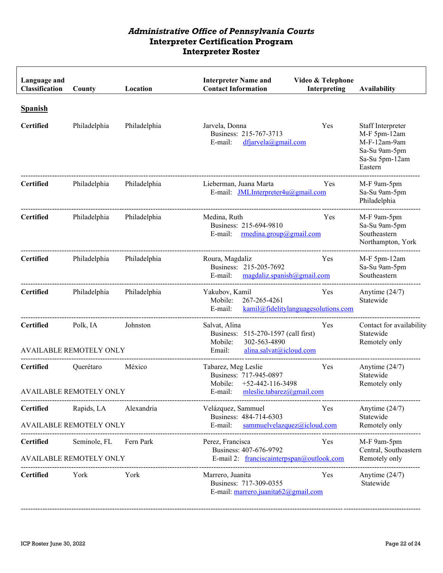| Language and<br>Classification | County                                         | Location     | <b>Interpreter Name and</b><br><b>Contact Information</b>                                                            | Video & Telephone<br>Interpreting          | <b>Availability</b>                                                                             |
|--------------------------------|------------------------------------------------|--------------|----------------------------------------------------------------------------------------------------------------------|--------------------------------------------|-------------------------------------------------------------------------------------------------|
| <b>Spanish</b>                 |                                                |              |                                                                                                                      |                                            |                                                                                                 |
| <b>Certified</b>               | Philadelphia                                   | Philadelphia | Jarvela, Donna<br>Business: 215-767-3713<br>E-mail:<br>dfjarvela@gmail.com                                           | Yes                                        | Staff Interpreter<br>M-F 5pm-12am<br>M-F-12am-9am<br>Sa-Su 9am-5pm<br>Sa-Su 5pm-12am<br>Eastern |
| <b>Certified</b>               | Philadelphia                                   | Philadelphia | Lieberman, Juana Marta<br>E-mail: JMLInterpreter4u@gmail.com                                                         | Yes                                        | M-F 9am-5pm<br>Sa-Su 9am-5pm<br>Philadelphia                                                    |
| <b>Certified</b>               | Philadelphia                                   | Philadelphia | Medina, Ruth<br>Business: 215-694-9810<br>rmedina.group@gmail.com<br>E-mail:                                         | Yes                                        | M-F 9am-5pm<br>Sa-Su 9am-5pm<br>Southeastern<br>Northampton, York                               |
| <b>Certified</b>               | Philadelphia                                   | Philadelphia | Roura, Magdaliz<br>Business: 215-205-7692<br>E-mail: $magdaliz.spanish@gmail.com$                                    | Yes                                        | M-F 5pm-12am<br>Sa-Su 9am-5pm<br>Southeastern                                                   |
| <b>Certified</b>               | Philadelphia                                   | Philadelphia | Yakubov, Kamil<br>267-265-4261<br>Mobile:<br>E-mail:                                                                 | Yes<br>kamil@fidelitylanguagesolutions.com | Anytime $(24/7)$<br>Statewide                                                                   |
| <b>Certified</b>               | Polk, IA<br><b>AVAILABLE REMOTELY ONLY</b>     | Johnston     | Salvat, Alina<br>Business: 515-270-1597 (call first)<br>302-563-4890<br>Mobile:<br>alina.salvat@icloud.com<br>Email: | Yes                                        | Contact for availability<br>Statewide<br>Remotely only                                          |
| <b>Certified</b>               | Querétaro<br><b>AVAILABLE REMOTELY ONLY</b>    | México       | Tabarez, Meg Leslie<br>Business: 717-945-0897<br>$+52-442-116-3498$<br>Mobile:<br>E-mail: mleslie.tabarez@gmail.com  | Yes                                        | Anytime $(24/7)$<br>Statewide<br>Remotely only                                                  |
| <b>Certified</b>               | Rapids, LA<br><b>AVAILABLE REMOTELY ONLY</b>   | Alexandria   | Velázquez, Sammuel<br>Business: 484-714-6303<br>E-mail:<br>sammuelvelazquez@icloud.com                               | Yes                                        | Anytime $(24/7)$<br>Statewide<br>Remotely only                                                  |
| <b>Certified</b>               | Seminole, FL<br><b>AVAILABLE REMOTELY ONLY</b> | Fern Park    | Perez, Francisca<br>Business: 407-676-9792<br>E-mail 2: franciscainterpspan@outlook.com                              | Yes                                        | M-F 9am-5pm<br>Central, Southeastern<br>Remotely only                                           |
| <b>Certified</b>               | York                                           | York         | Marrero, Juanita<br>Business: 717-309-0355<br>E-mail: marrero.juanita62@gmail.com                                    | Yes                                        | Anytime $(24/7)$<br>Statewide                                                                   |

----------------------------------------------------------------------------------------------------------------------------------------------------------------------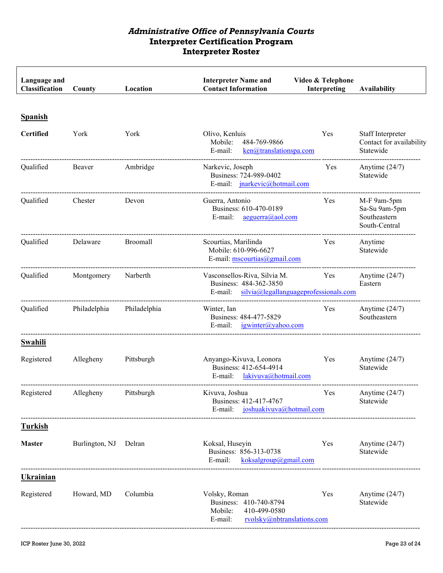| Language and<br>Classification | County         | Location     | <b>Interpreter Name and</b><br><b>Contact Information</b>                                                   | Video & Telephone<br>Interpreting | <b>Availability</b>                                           |
|--------------------------------|----------------|--------------|-------------------------------------------------------------------------------------------------------------|-----------------------------------|---------------------------------------------------------------|
| <b>Spanish</b>                 |                |              |                                                                                                             |                                   |                                                               |
| <b>Certified</b>               | York           | York         | Olivo, Kenluis<br>Mobile:<br>484-769-9866<br>E-mail:<br>$ken@$ translationspa.com                           | Yes                               | Staff Interpreter<br>Contact for availability<br>Statewide    |
| Qualified                      | Beaver         | Ambridge     | Narkevic, Joseph<br>Business: 724-989-0402<br>E-mail: <i>inarkevic@hotmail.com</i>                          | Yes                               | Anytime $(24/7)$<br>Statewide                                 |
| Qualified                      | Chester        | Devon        | Guerra, Antonio<br>Business: 610-470-0189<br>E-mail:<br>aeguerra@aol.com                                    | Yes                               | M-F 9am-5pm<br>Sa-Su 9am-5pm<br>Southeastern<br>South-Central |
| Qualified                      | Delaware       | Broomall     | Scourtias, Marilinda<br>Mobile: 610-996-6627<br>E-mail: mscourtias@gmail.com                                | Yes                               | Anytime<br>Statewide                                          |
| Qualified                      | Montgomery     | Narberth     | Vasconsellos-Riva, Silvia M.<br>Business: 484-362-3850<br>E-mail: $silvia@$ legallanguageprofessionals.com  | Yes                               | Anytime $(24/7)$<br>Eastern                                   |
| Qualified                      | Philadelphia   | Philadelphia | Winter, Ian<br>Business: 484-477-5829<br>igwinter@yahoo.com<br>E-mail:                                      | Yes                               | Anytime $(24/7)$<br>Southeastern                              |
| Swahili                        |                |              |                                                                                                             |                                   |                                                               |
| Registered                     | Allegheny      | Pittsburgh   | Anyango-Kivuva, Leonora<br>Business: 412-654-4914<br>E-mail: lakivuva@hotmail.com                           | Yes                               | Anytime $(24/7)$<br>Statewide                                 |
| Registered                     | Allegheny      | Pittsburgh   | Kivuva, Joshua<br>Business: 412-417-4767<br>E-mail: joshuakivuva@hotmail.com                                | Yes                               | Anytime $(24/7)$<br>Statewide                                 |
| <b>Turkish</b>                 |                |              |                                                                                                             |                                   |                                                               |
| <b>Master</b>                  | Burlington, NJ | Delran       | Koksal, Huseyin<br>Business: 856-313-0738<br>E-mail:<br>koksalgroup@gmail.com                               | Yes                               | Anytime $(24/7)$<br>Statewide                                 |
| <b>Ukrainian</b>               |                |              |                                                                                                             |                                   |                                                               |
| Registered                     | Howard, MD     | Columbia     | Volsky, Roman<br>Business: 410-740-8794<br>410-499-0580<br>Mobile:<br>rvolsky@nbtranslations.com<br>E-mail: | Yes                               | Anytime $(24/7)$<br>Statewide                                 |